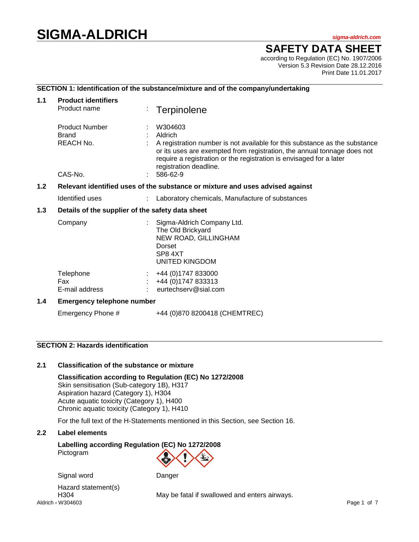# **SIGMA-ALDRICH** *sigma-aldrich.com*

# **SAFETY DATA SHEET**

according to Regulation (EC) No. 1907/2006 Version 5.3 Revision Date 28.12.2016 Print Date 11.01.2017

# **SECTION 1: Identification of the substance/mixture and of the company/undertaking**

| 1.1   | <b>Product identifiers</b><br>Product name                                    |  | Terpinolene                                                                                                                                                                                                                                                                              |  |  |
|-------|-------------------------------------------------------------------------------|--|------------------------------------------------------------------------------------------------------------------------------------------------------------------------------------------------------------------------------------------------------------------------------------------|--|--|
|       | <b>Product Number</b><br><b>Brand</b><br>REACH No.<br>CAS-No.                 |  | W304603<br>Aldrich<br>A registration number is not available for this substance as the substance<br>or its uses are exempted from registration, the annual tonnage does not<br>require a registration or the registration is envisaged for a later<br>registration deadline.<br>586-62-9 |  |  |
| 1.2   | Relevant identified uses of the substance or mixture and uses advised against |  |                                                                                                                                                                                                                                                                                          |  |  |
|       | Identified uses                                                               |  | Laboratory chemicals, Manufacture of substances                                                                                                                                                                                                                                          |  |  |
| $1.3$ | Details of the supplier of the safety data sheet                              |  |                                                                                                                                                                                                                                                                                          |  |  |
|       | Company                                                                       |  | Sigma-Aldrich Company Ltd.<br>The Old Brickyard<br>NEW ROAD, GILLINGHAM<br>Dorset<br>SP84XT<br>UNITED KINGDOM                                                                                                                                                                            |  |  |
|       | Telephone<br>Fax<br>E-mail address                                            |  | +44 (0) 1747 833000<br>+44 (0) 1747 833313<br>eurtechserv@sial.com                                                                                                                                                                                                                       |  |  |
| 1.4   | <b>Emergency telephone number</b>                                             |  |                                                                                                                                                                                                                                                                                          |  |  |
|       | Emergency Phone #                                                             |  | +44 (0)870 8200418 (CHEMTREC)                                                                                                                                                                                                                                                            |  |  |

# **SECTION 2: Hazards identification**

# **2.1 Classification of the substance or mixture**

**Classification according to Regulation (EC) No 1272/2008** Skin sensitisation (Sub-category 1B), H317 Aspiration hazard (Category 1), H304 Acute aquatic toxicity (Category 1), H400 Chronic aquatic toxicity (Category 1), H410

For the full text of the H-Statements mentioned in this Section, see Section 16.

# **2.2 Label elements**

**Labelling according Regulation (EC) No 1272/2008** Pictogram

Signal word Danger

Aldrich **-** W304603 Page 1 of 7 Hazard statement(s)

H304 May be fatal if swallowed and enters airways.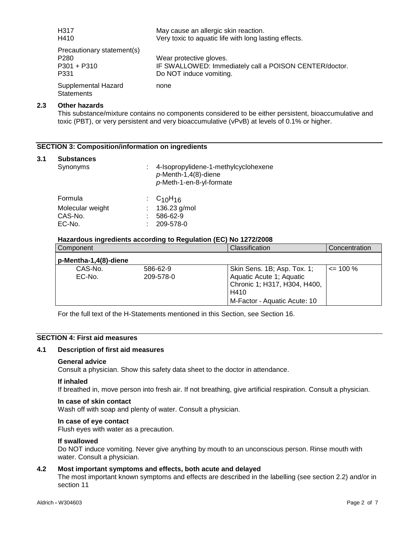| H <sub>317</sub>                         | May cause an allergic skin reaction.                   |
|------------------------------------------|--------------------------------------------------------|
| H410                                     | Very toxic to aquatic life with long lasting effects.  |
| Precautionary statement(s)               |                                                        |
| P <sub>280</sub>                         | Wear protective gloves.                                |
| $P301 + P310$                            | IF SWALLOWED: Immediately call a POISON CENTER/doctor. |
| P331                                     | Do NOT induce vomiting.                                |
| Supplemental Hazard<br><b>Statements</b> | none                                                   |

# **2.3 Other hazards**

This substance/mixture contains no components considered to be either persistent, bioaccumulative and toxic (PBT), or very persistent and very bioaccumulative (vPvB) at levels of 0.1% or higher.

# **SECTION 3: Composition/information on ingredients**

#### **3.1 Substances**

| Synonyms         | 4-Isopropylidene-1-methylcyclohexene<br>$p$ -Menth-1,4(8)-diene<br>p-Meth-1-en-8-yl-formate |
|------------------|---------------------------------------------------------------------------------------------|
| Formula          | : $C_{10}H_{16}$                                                                            |
| Molecular weight | 136.23 g/mol                                                                                |
| CAS-No.          | 586-62-9                                                                                    |
| EC-No.           | 209-578-0                                                                                   |
|                  |                                                                                             |

# **Hazardous ingredients according to Regulation (EC) No 1272/2008**

| Component             |                       | Classification                                                                                                                  | Concentration |
|-----------------------|-----------------------|---------------------------------------------------------------------------------------------------------------------------------|---------------|
| p-Mentha-1,4(8)-diene |                       |                                                                                                                                 |               |
| CAS-No.<br>EC-No.     | 586-62-9<br>209-578-0 | Skin Sens. 1B; Asp. Tox. 1;<br>Aquatic Acute 1; Aquatic<br>Chronic 1; H317, H304, H400,<br>H410<br>M-Factor - Aquatic Acute: 10 | $\leq$ 100 %  |

For the full text of the H-Statements mentioned in this Section, see Section 16.

# **SECTION 4: First aid measures**

# **4.1 Description of first aid measures**

#### **General advice**

Consult a physician. Show this safety data sheet to the doctor in attendance.

#### **If inhaled**

If breathed in, move person into fresh air. If not breathing, give artificial respiration. Consult a physician.

#### **In case of skin contact**

Wash off with soap and plenty of water. Consult a physician.

## **In case of eye contact**

Flush eyes with water as a precaution.

#### **If swallowed**

Do NOT induce vomiting. Never give anything by mouth to an unconscious person. Rinse mouth with water. Consult a physician.

#### **4.2 Most important symptoms and effects, both acute and delayed**

The most important known symptoms and effects are described in the labelling (see section 2.2) and/or in section 11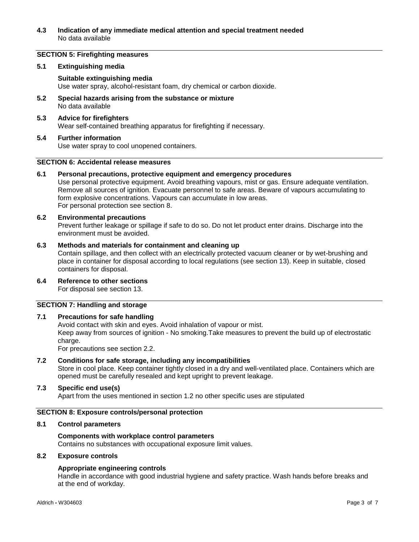# **4.3 Indication of any immediate medical attention and special treatment needed** No data available

# **SECTION 5: Firefighting measures**

#### **5.1 Extinguishing media**

# **Suitable extinguishing media**

Use water spray, alcohol-resistant foam, dry chemical or carbon dioxide.

**5.2 Special hazards arising from the substance or mixture** No data available

# **5.3 Advice for firefighters**

Wear self-contained breathing apparatus for firefighting if necessary.

# **5.4 Further information** Use water spray to cool unopened containers.

# **SECTION 6: Accidental release measures**

# **6.1 Personal precautions, protective equipment and emergency procedures**

Use personal protective equipment. Avoid breathing vapours, mist or gas. Ensure adequate ventilation. Remove all sources of ignition. Evacuate personnel to safe areas. Beware of vapours accumulating to form explosive concentrations. Vapours can accumulate in low areas. For personal protection see section 8.

# **6.2 Environmental precautions**

Prevent further leakage or spillage if safe to do so. Do not let product enter drains. Discharge into the environment must be avoided.

# **6.3 Methods and materials for containment and cleaning up**

Contain spillage, and then collect with an electrically protected vacuum cleaner or by wet-brushing and place in container for disposal according to local regulations (see section 13). Keep in suitable, closed containers for disposal.

**6.4 Reference to other sections** For disposal see section 13.

#### **SECTION 7: Handling and storage**

# **7.1 Precautions for safe handling**

Avoid contact with skin and eyes. Avoid inhalation of vapour or mist. Keep away from sources of ignition - No smoking.Take measures to prevent the build up of electrostatic charge. For precautions see section 2.2.

#### **7.2 Conditions for safe storage, including any incompatibilities**

Store in cool place. Keep container tightly closed in a dry and well-ventilated place. Containers which are opened must be carefully resealed and kept upright to prevent leakage.

#### **7.3 Specific end use(s)**

Apart from the uses mentioned in section 1.2 no other specific uses are stipulated

#### **SECTION 8: Exposure controls/personal protection**

#### **8.1 Control parameters**

#### **Components with workplace control parameters**

Contains no substances with occupational exposure limit values.

# **8.2 Exposure controls**

#### **Appropriate engineering controls**

Handle in accordance with good industrial hygiene and safety practice. Wash hands before breaks and at the end of workday.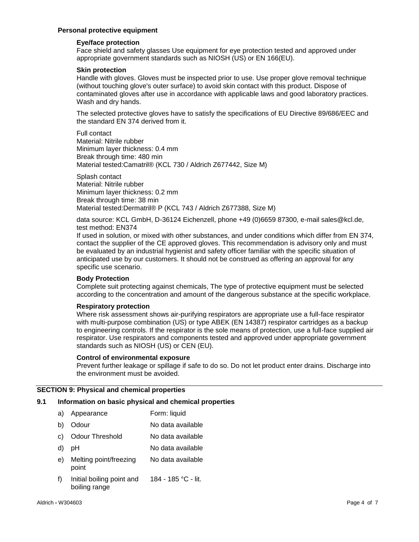# **Personal protective equipment**

### **Eye/face protection**

Face shield and safety glasses Use equipment for eye protection tested and approved under appropriate government standards such as NIOSH (US) or EN 166(EU).

#### **Skin protection**

Handle with gloves. Gloves must be inspected prior to use. Use proper glove removal technique (without touching glove's outer surface) to avoid skin contact with this product. Dispose of contaminated gloves after use in accordance with applicable laws and good laboratory practices. Wash and dry hands.

The selected protective gloves have to satisfy the specifications of EU Directive 89/686/EEC and the standard EN 374 derived from it.

Full contact Material: Nitrile rubber Minimum layer thickness: 0.4 mm Break through time: 480 min Material tested:Camatril® (KCL 730 / Aldrich Z677442, Size M)

Splash contact Material: Nitrile rubber Minimum layer thickness: 0.2 mm Break through time: 38 min Material tested:Dermatril® P (KCL 743 / Aldrich Z677388, Size M)

data source: KCL GmbH, D-36124 Eichenzell, phone +49 (0)6659 87300, e-mail sales@kcl.de, test method: EN374

If used in solution, or mixed with other substances, and under conditions which differ from EN 374, contact the supplier of the CE approved gloves. This recommendation is advisory only and must be evaluated by an industrial hygienist and safety officer familiar with the specific situation of anticipated use by our customers. It should not be construed as offering an approval for any specific use scenario.

# **Body Protection**

Complete suit protecting against chemicals, The type of protective equipment must be selected according to the concentration and amount of the dangerous substance at the specific workplace.

#### **Respiratory protection**

Where risk assessment shows air-purifying respirators are appropriate use a full-face respirator with multi-purpose combination (US) or type ABEK (EN 14387) respirator cartridges as a backup to engineering controls. If the respirator is the sole means of protection, use a full-face supplied air respirator. Use respirators and components tested and approved under appropriate government standards such as NIOSH (US) or CEN (EU).

#### **Control of environmental exposure**

Prevent further leakage or spillage if safe to do so. Do not let product enter drains. Discharge into the environment must be avoided.

# **SECTION 9: Physical and chemical properties**

# **9.1 Information on basic physical and chemical properties**

- a) Appearance Form: liquid
- b) Odour No data available
- c) Odour Threshold No data available
- d) pH No data available
- e) Melting point/freezing point No data available
- f) Initial boiling point and boiling range 184 - 185 °C - lit.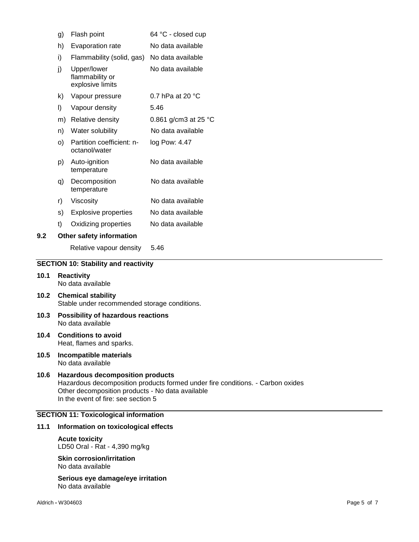|     | g) | Flash point                                        | 64 °C - closed cup        |
|-----|----|----------------------------------------------------|---------------------------|
|     | h) | Evaporation rate                                   | No data available         |
|     | i) | Flammability (solid, gas)                          | No data available         |
|     | j) | Upper/lower<br>flammability or<br>explosive limits | No data available         |
|     | k) | Vapour pressure                                    | 0.7 hPa at 20 $\degree$ C |
|     | I) | Vapour density                                     | 5.46                      |
|     | m) | Relative density                                   | 0.861 g/cm3 at 25 °C      |
|     | n) | Water solubility                                   | No data available         |
|     | O) | Partition coefficient: n-<br>octanol/water         | log Pow: 4.47             |
|     | p) | Auto-ignition<br>temperature                       | No data available         |
|     | q) | Decomposition<br>temperature                       | No data available         |
|     | r) | Viscosity                                          | No data available         |
|     | s) | <b>Explosive properties</b>                        | No data available         |
|     | t) | Oxidizing properties                               | No data available         |
| 9.2 |    | Other safety information                           |                           |
|     |    |                                                    |                           |

# Relative vapour density 5.46

# **SECTION 10: Stability and reactivity**

- **10.1 Reactivity** No data available
- **10.2 Chemical stability** Stable under recommended storage conditions.
- **10.3 Possibility of hazardous reactions** No data available
- **10.4 Conditions to avoid** Heat, flames and sparks.
- **10.5 Incompatible materials** No data available

# **10.6 Hazardous decomposition products** Hazardous decomposition products formed under fire conditions. - Carbon oxides Other decomposition products - No data available In the event of fire: see section 5

# **SECTION 11: Toxicological information**

#### **11.1 Information on toxicological effects**

# **Acute toxicity** LD50 Oral - Rat - 4,390 mg/kg

# **Skin corrosion/irritation** No data available

**Serious eye damage/eye irritation** No data available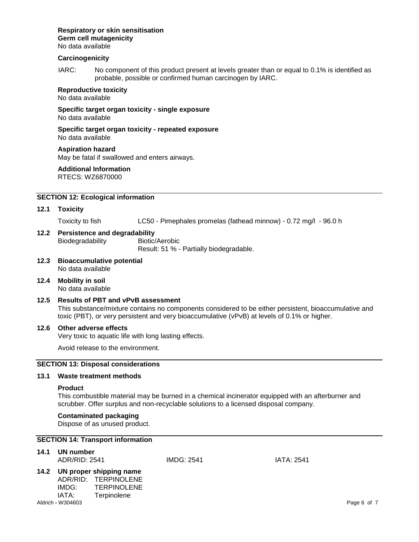#### **Respiratory or skin sensitisation Germ cell mutagenicity** No data available

# **Carcinogenicity**

IARC: No component of this product present at levels greater than or equal to 0.1% is identified as probable, possible or confirmed human carcinogen by IARC.

**Reproductive toxicity** No data available

**Specific target organ toxicity - single exposure** No data available

**Specific target organ toxicity - repeated exposure** No data available

**Aspiration hazard** May be fatal if swallowed and enters airways.

**Additional Information** RTECS: WZ6870000

# **SECTION 12: Ecological information**

#### **12.1 Toxicity**

Toxicity to fish LC50 - Pimephales promelas (fathead minnow) - 0.72 mg/l - 96.0 h

**12.2 Persistence and degradability** Biodegradability Biotic/Aerobic

Result: 51 % - Partially biodegradable.

- **12.3 Bioaccumulative potential** No data available
- **12.4 Mobility in soil** No data available
- **12.5 Results of PBT and vPvB assessment** This substance/mixture contains no components considered to be either persistent, bioaccumulative and toxic (PBT), or very persistent and very bioaccumulative (vPvB) at levels of 0.1% or higher.

#### **12.6 Other adverse effects**

Very toxic to aquatic life with long lasting effects.

Avoid release to the environment.

# **SECTION 13: Disposal considerations**

# **13.1 Waste treatment methods**

### **Product**

This combustible material may be burned in a chemical incinerator equipped with an afterburner and scrubber. Offer surplus and non-recyclable solutions to a licensed disposal company.

#### **Contaminated packaging**

Dispose of as unused product.

# **SECTION 14: Transport information**

| 14.1 UN number |                   |            |
|----------------|-------------------|------------|
| ADR/RID: 2541  | <b>IMDG: 2541</b> | IATA: 2541 |

#### **14.2 UN proper shipping name** ADR/RID: TERPINOLENE

| .     | .                  |
|-------|--------------------|
| IMDG: | <b>TERPINOLENE</b> |
| IATA: | Terpinolene        |